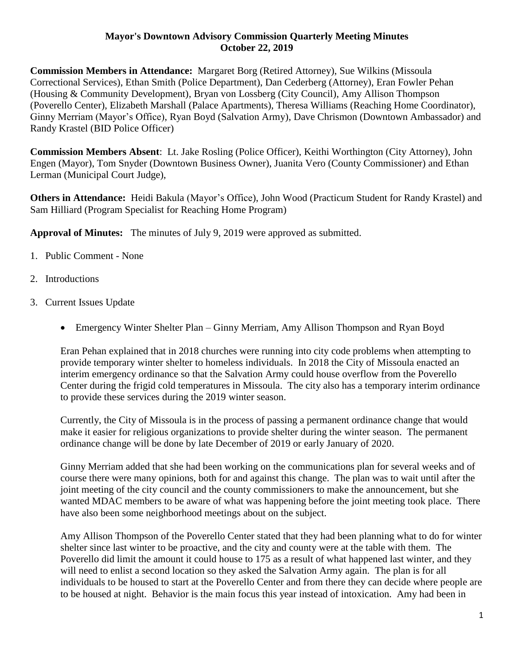## **Mayor's Downtown Advisory Commission Quarterly Meeting Minutes October 22, 2019**

**Commission Members in Attendance:** Margaret Borg (Retired Attorney), Sue Wilkins (Missoula Correctional Services), Ethan Smith (Police Department), Dan Cederberg (Attorney), Eran Fowler Pehan (Housing & Community Development), Bryan von Lossberg (City Council), Amy Allison Thompson (Poverello Center), Elizabeth Marshall (Palace Apartments), Theresa Williams (Reaching Home Coordinator), Ginny Merriam (Mayor's Office), Ryan Boyd (Salvation Army), Dave Chrismon (Downtown Ambassador) and Randy Krastel (BID Police Officer)

**Commission Members Absent**: Lt. Jake Rosling (Police Officer), Keithi Worthington (City Attorney), John Engen (Mayor), Tom Snyder (Downtown Business Owner), Juanita Vero (County Commissioner) and Ethan Lerman (Municipal Court Judge),

**Others in Attendance:** Heidi Bakula (Mayor's Office), John Wood (Practicum Student for Randy Krastel) and Sam Hilliard (Program Specialist for Reaching Home Program)

**Approval of Minutes:** The minutes of July 9, 2019 were approved as submitted.

- 1. Public Comment None
- 2. Introductions
- 3. Current Issues Update
	- Emergency Winter Shelter Plan Ginny Merriam, Amy Allison Thompson and Ryan Boyd

Eran Pehan explained that in 2018 churches were running into city code problems when attempting to provide temporary winter shelter to homeless individuals. In 2018 the City of Missoula enacted an interim emergency ordinance so that the Salvation Army could house overflow from the Poverello Center during the frigid cold temperatures in Missoula. The city also has a temporary interim ordinance to provide these services during the 2019 winter season.

Currently, the City of Missoula is in the process of passing a permanent ordinance change that would make it easier for religious organizations to provide shelter during the winter season. The permanent ordinance change will be done by late December of 2019 or early January of 2020.

Ginny Merriam added that she had been working on the communications plan for several weeks and of course there were many opinions, both for and against this change. The plan was to wait until after the joint meeting of the city council and the county commissioners to make the announcement, but she wanted MDAC members to be aware of what was happening before the joint meeting took place. There have also been some neighborhood meetings about on the subject.

Amy Allison Thompson of the Poverello Center stated that they had been planning what to do for winter shelter since last winter to be proactive, and the city and county were at the table with them. The Poverello did limit the amount it could house to 175 as a result of what happened last winter, and they will need to enlist a second location so they asked the Salvation Army again. The plan is for all individuals to be housed to start at the Poverello Center and from there they can decide where people are to be housed at night. Behavior is the main focus this year instead of intoxication. Amy had been in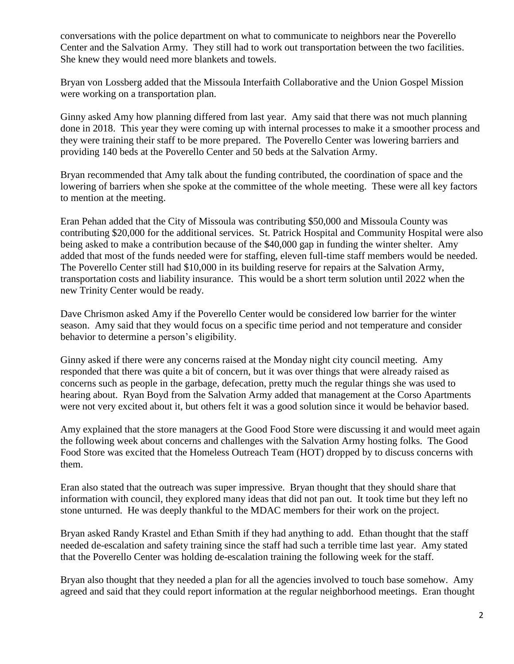conversations with the police department on what to communicate to neighbors near the Poverello Center and the Salvation Army. They still had to work out transportation between the two facilities. She knew they would need more blankets and towels.

Bryan von Lossberg added that the Missoula Interfaith Collaborative and the Union Gospel Mission were working on a transportation plan.

Ginny asked Amy how planning differed from last year. Amy said that there was not much planning done in 2018. This year they were coming up with internal processes to make it a smoother process and they were training their staff to be more prepared. The Poverello Center was lowering barriers and providing 140 beds at the Poverello Center and 50 beds at the Salvation Army.

Bryan recommended that Amy talk about the funding contributed, the coordination of space and the lowering of barriers when she spoke at the committee of the whole meeting. These were all key factors to mention at the meeting.

Eran Pehan added that the City of Missoula was contributing \$50,000 and Missoula County was contributing \$20,000 for the additional services. St. Patrick Hospital and Community Hospital were also being asked to make a contribution because of the \$40,000 gap in funding the winter shelter. Amy added that most of the funds needed were for staffing, eleven full-time staff members would be needed. The Poverello Center still had \$10,000 in its building reserve for repairs at the Salvation Army, transportation costs and liability insurance. This would be a short term solution until 2022 when the new Trinity Center would be ready.

Dave Chrismon asked Amy if the Poverello Center would be considered low barrier for the winter season. Amy said that they would focus on a specific time period and not temperature and consider behavior to determine a person's eligibility.

Ginny asked if there were any concerns raised at the Monday night city council meeting. Amy responded that there was quite a bit of concern, but it was over things that were already raised as concerns such as people in the garbage, defecation, pretty much the regular things she was used to hearing about. Ryan Boyd from the Salvation Army added that management at the Corso Apartments were not very excited about it, but others felt it was a good solution since it would be behavior based.

Amy explained that the store managers at the Good Food Store were discussing it and would meet again the following week about concerns and challenges with the Salvation Army hosting folks. The Good Food Store was excited that the Homeless Outreach Team (HOT) dropped by to discuss concerns with them.

Eran also stated that the outreach was super impressive. Bryan thought that they should share that information with council, they explored many ideas that did not pan out. It took time but they left no stone unturned. He was deeply thankful to the MDAC members for their work on the project.

Bryan asked Randy Krastel and Ethan Smith if they had anything to add. Ethan thought that the staff needed de-escalation and safety training since the staff had such a terrible time last year. Amy stated that the Poverello Center was holding de-escalation training the following week for the staff.

Bryan also thought that they needed a plan for all the agencies involved to touch base somehow. Amy agreed and said that they could report information at the regular neighborhood meetings. Eran thought